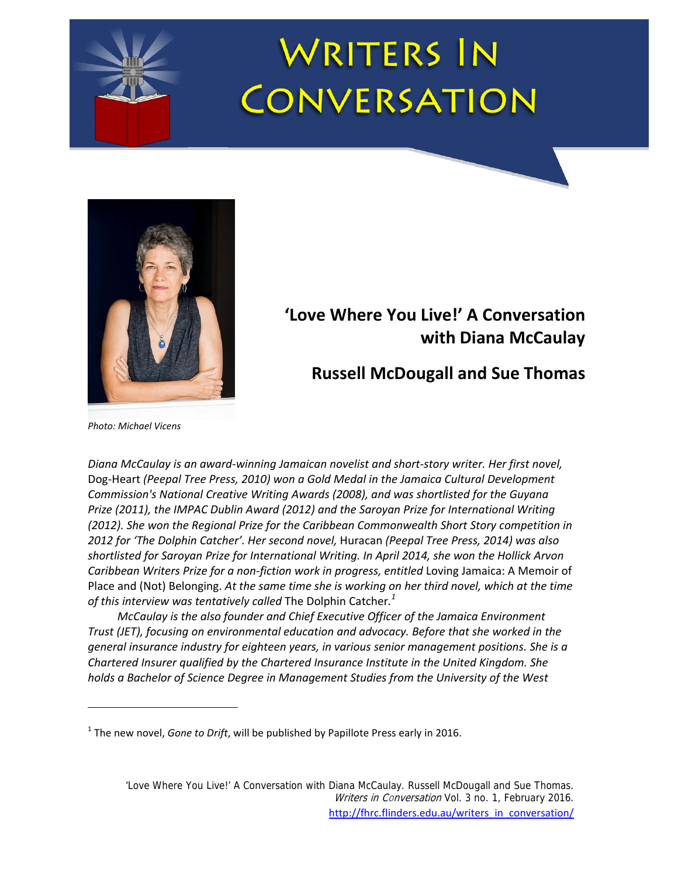# <u>The company of the company of the company of the company of the company of the company of the company of the company of the company of the company of the company of the company of the company of the company of the company</u>



# **'Love Where You Live!' A Conversation with Diana McCaulay**

**Russell McDougall and Sue Thomas**

*Photo: Michael Vicens*

*Diana McCaulay is an award‐winning Jamaican novelist and short‐story writer. Her first novel,* Dog‐Heart *(Peepal Tree Press, 2010) won a Gold Medal in the Jamaica Cultural Development Commission's National Creative Writing Awards (2008), and was shortlisted for the Guyana Prize (2011), the IMPAC Dublin Award (2012) and the Saroyan Prize for International Writing (2012). She won the Regional Prize for the Caribbean Commonwealth Short Story competition in 2012 for 'The Dolphin Catcher'. Her second novel,* Huracan *(Peepal Tree Press, 2014) was also shortlisted for Saroyan Prize for International Writing. In April 2014, she won the Hollick Arvon Caribbean Writers Prize for a non‐fiction work in progress, entitled* Loving Jamaica: A Memoir of Place and (Not) Belonging. *At the same time she is working on her third novel, which at the time of this interview was tentatively called* The Dolphin Catcher*. 1*

*McCaulay is the also founder and Chief Executive Officer of the Jamaica Environment Trust (JET), focusing on environmental education and advocacy. Before that she worked in the general insurance industry for eighteen years, in various senior management positions. She is a Chartered Insurer qualified by the Chartered Insurance Institute in the United Kingdom. She holds a Bachelor of Science Degree in Management Studies from the University of the West*

<sup>1</sup> The new novel, *Gone to Drift*, will be published by Papillote Press early in 2016.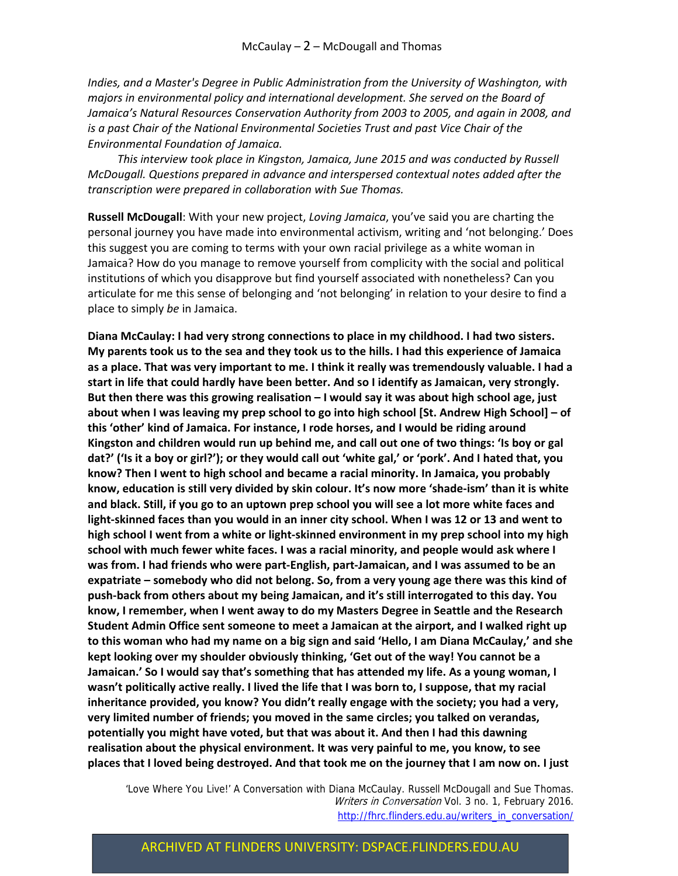*Indies, and a Master's Degree in Public Administration from the University of Washington, with majors in environmental policy and international development. She served on the Board of Jamaica's Natural Resources Conservation Authority from 2003 to 2005, and again in 2008, and is a past Chair of the National Environmental Societies Trust and past Vice Chair of the Environmental Foundation of Jamaica.* 

*This interview took place in Kingston, Jamaica, June 2015 and was conducted by Russell McDougall. Questions prepared in advance and interspersed contextual notes added after the transcription were prepared in collaboration with Sue Thomas.* 

**Russell McDougall**: With your new project, *Loving Jamaica*, you've said you are charting the personal journey you have made into environmental activism, writing and 'not belonging.' Does this suggest you are coming to terms with your own racial privilege as a white woman in Jamaica? How do you manage to remove yourself from complicity with the social and political institutions of which you disapprove but find yourself associated with nonetheless? Can you articulate for me this sense of belonging and 'not belonging' in relation to your desire to find a place to simply *be* in Jamaica.

**Diana McCaulay: I had very strong connections to place in my childhood. I had two sisters.** My parents took us to the sea and they took us to the hills. I had this experience of Jamaica as a place. That was very important to me. I think it really was tremendously valuable. I had a **start in life that could hardly have been better. And so I identify as Jamaican, very strongly. But then there was this growing realisation – I would say it was about high school age, just** about when I was leaving my prep school to go into high school [St. Andrew High School] - of **this 'other' kind of Jamaica. For instance, I rode horses, and I would be riding around** Kingston and children would run up behind me, and call out one of two things: 'Is boy or gal dat?' ('Is it a boy or girl?'); or they would call out 'white gal,' or 'pork'. And I hated that, you **know? Then I went to high school and became a racial minority. In Jamaica, you probably** know, education is still very divided by skin colour. It's now more 'shade-ism' than it is white and black. Still, if you go to an uptown prep school you will see a lot more white faces and light-skinned faces than you would in an inner city school. When I was 12 or 13 and went to **high school I went from a white or light‐skinned environment in my prep school into my high school with much fewer white faces. I was a racial minority, and people would ask where I** was from. I had friends who were part-English, part-Jamaican, and I was assumed to be an **expatriate – somebody who did not belong. So, from a very young age there was this kind of push‐back from others about my being Jamaican, and it's still interrogated to this day. You know, I remember, when I went away to do my Masters Degree in Seattle and the Research Student Admin Office sent someone to meet a Jamaican at the airport, and I walked right up** to this woman who had my name on a big sign and said 'Hello, I am Diana McCaulay,' and she **kept looking over my shoulder obviously thinking, 'Get out of the way! You cannot be a Jamaican.' So I would say that's something that has attended my life. As a young woman, I wasn't politically active really. I lived the life that I was born to, I suppose, that my racial inheritance provided, you know? You didn't really engage with the society; you had a very, very limited number of friends; you moved in the same circles; you talked on verandas, potentially you might have voted, but that was about it. And then I had this dawning realisation about the physical environment. It was very painful to me, you know, to see** places that I loved being destroyed. And that took me on the journey that I am now on. I just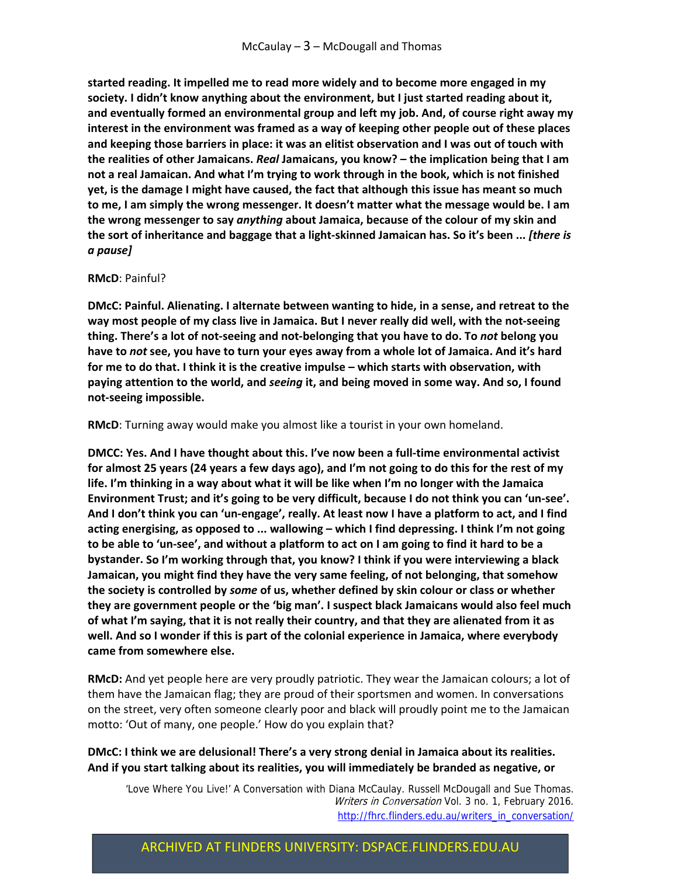**started reading. It impelled me to read more widely and to become more engaged in my society. I didn't know anything about the environment, but I just started reading about it, and eventually formed an environmental group and left my job. And, of course right away my interest in the environment was framed as a way of keeping other people out of these places and keeping those barriers in place: it was an elitist observation and I was out of touch with the realities of other Jamaicans.** *Real* **Jamaicans, you know? – the implication being that I am not a real Jamaican. And what I'm trying to work through in the book, which is not finished yet, is the damage I might have caused, the fact that although this issue has meant so much to me, I am simply the wrong messenger. It doesn't matter what the message would be. I am the wrong messenger to say** *anything* **about Jamaica, because of the colour of my skin and** the sort of inheritance and baggage that a light-skinned Jamaican has. So it's been ... [there is *a pause]*

#### **RMcD**: Painful?

**DMcC: Painful. Alienating. I alternate between wanting to hide, in a sense, and retreat to the** way most people of my class live in Jamaica. But I never really did well, with the not-seeing thing. There's a lot of not-seeing and not-belonging that you have to do. To not belong you have to not see, you have to turn your eyes away from a whole lot of Jamaica. And it's hard **for me to do that. I think it is the creative impulse – which starts with observation, with paying attention to the world, and** *seeing* **it, and being moved in some way. And so, I found not‐seeing impossible.** 

**RMcD**: Turning away would make you almost like a tourist in your own homeland.

**DMCC: Yes. And I have thought about this. I've now been a full‐time environmental activist** for almost 25 years (24 years a few days ago), and I'm not going to do this for the rest of my **life. I'm thinking in a way about what it will be like when I'm no longer with the Jamaica** Environment Trust; and it's going to be very difficult, because I do not think you can 'un-see'. And I don't think you can 'un-engage', really. At least now I have a platform to act, and I find **acting energising, as opposed to ... wallowing – which I find depressing. I think I'm not going** to be able to 'un-see', and without a platform to act on I am going to find it hard to be a **bystander. So I'm working through that, you know? I think if you were interviewing a black Jamaican, you might find they have the very same feeling, of not belonging, that somehow the society is controlled by** *some* **of us, whether defined by skin colour or class or whether they are government people or the 'big man'. I suspect black Jamaicans would also feel much** of what I'm saying, that it is not really their country, and that they are alienated from it as **well. And so I wonder if this is part of the colonial experience in Jamaica, where everybody came from somewhere else.**

**RMcD:** And yet people here are very proudly patriotic. They wear the Jamaican colours; a lot of them have the Jamaican flag; they are proud of their sportsmen and women. In conversations on the street, very often someone clearly poor and black will proudly point me to the Jamaican motto: 'Out of many, one people.' How do you explain that?

#### **DMcC: I think we are delusional! There's a very strong denial in Jamaica about its realities. And if you start talking about its realities, you will immediately be branded as negative, or**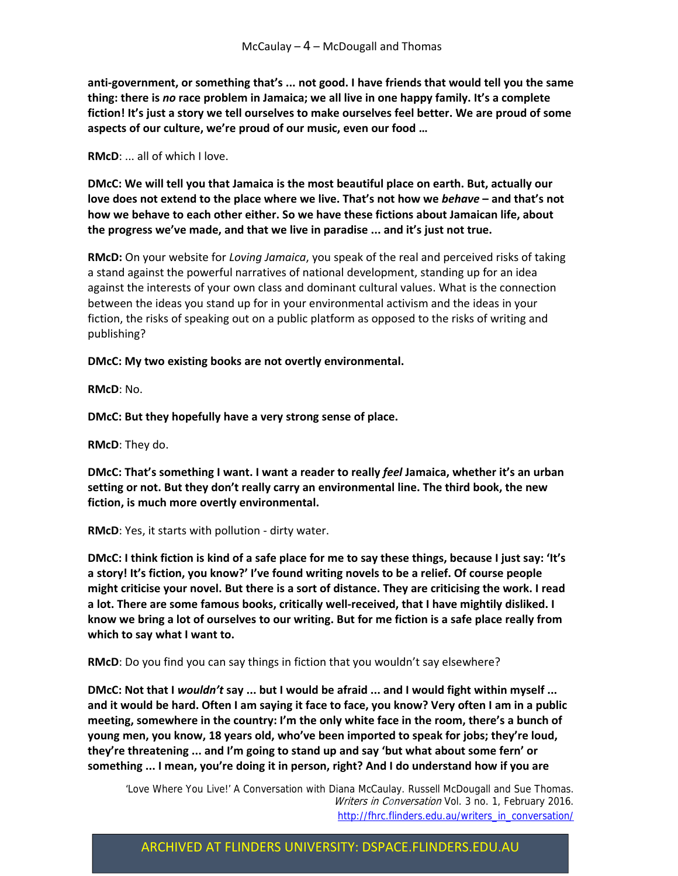**anti‐government, or something that's ... not good. I have friends that would tell you the same thing: there is** *no* **race problem in Jamaica; we all live in one happy family. It's a complete fiction! It's just a story we tell ourselves to make ourselves feel better. We are proud of some aspects of our culture, we're proud of our music, even our food …** 

**RMcD**: ... all of which I love.

**DMcC: We will tell you that Jamaica is the most beautiful place on earth. But, actually our love does not extend to the place where we live. That's not how we** *behave* **– and that's not how we behave to each other either. So we have these fictions about Jamaican life, about the progress we've made, and that we live in paradise ... and it's just not true.**

**RMcD:** On your website for *Loving Jamaica*, you speak of the real and perceived risks of taking a stand against the powerful narratives of national development, standing up for an idea against the interests of your own class and dominant cultural values. What is the connection between the ideas you stand up for in your environmental activism and the ideas in your fiction, the risks of speaking out on a public platform as opposed to the risks of writing and publishing?

**DMcC: My two existing books are not overtly environmental.**

**RMcD**: No.

**DMcC: But they hopefully have a very strong sense of place.** 

**RMcD**: They do.

**DMcC: That's something I want. I want a reader to really** *feel* **Jamaica, whether it's an urban setting or not. But they don't really carry an environmental line. The third book, the new fiction, is much more overtly environmental.**

**RMcD**: Yes, it starts with pollution ‐ dirty water.

DMcC: I think fiction is kind of a safe place for me to say these things, because I just say: 'It's **a story! It's fiction, you know?' I've found writing novels to be a relief. Of course people might criticise your novel. But there is a sort of distance. They are criticising the work. I read a lot. There are some famous books, critically well‐received, that I have mightily disliked. I** know we bring a lot of ourselves to our writing. But for me fiction is a safe place really from **which to say what I want to.** 

**RMcD**: Do you find you can say things in fiction that you wouldn't say elsewhere?

DMcC: Not that I wouldn't say ... but I would be afraid ... and I would fight within myself ... and it would be hard. Often I am saying it face to face, you know? Very often I am in a public **meeting, somewhere in the country: I'm the only white face in the room, there's a bunch of young men, you know, 18 years old, who've been imported to speak for jobs; they're loud, they're threatening ... and I'm going to stand up and say 'but what about some fern' or something ... I mean, you're doing it in person, right? And I do understand how if you are**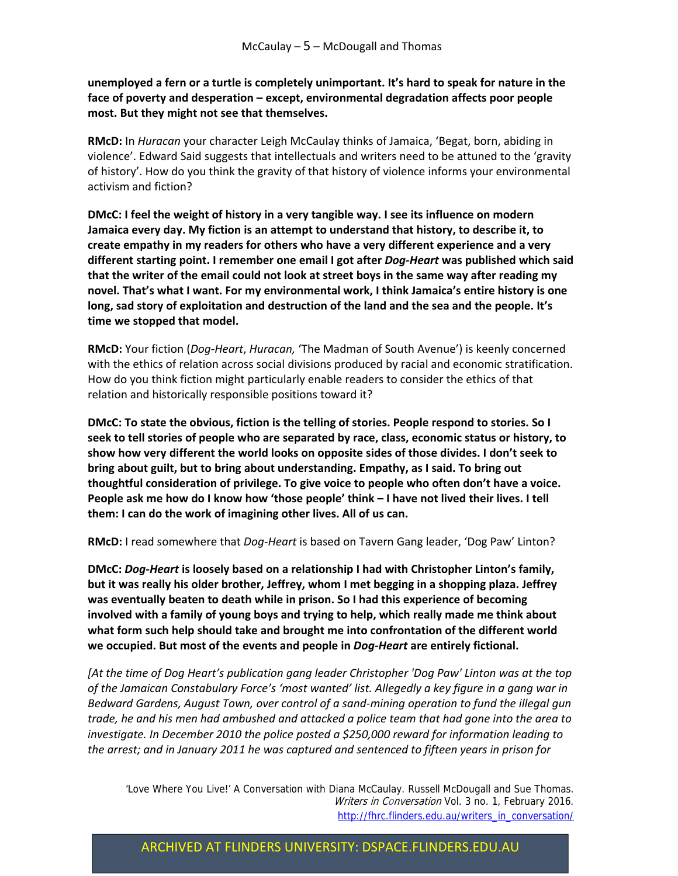**unemployed a fern or a turtle is completely unimportant. It's hard to speak for nature in the face of poverty and desperation – except, environmental degradation affects poor people most. But they might not see that themselves.** 

**RMcD:** In *Huracan* your character Leigh McCaulay thinks of Jamaica, 'Begat, born, abiding in violence'. Edward Said suggests that intellectuals and writers need to be attuned to the 'gravity of history'. How do you think the gravity of that history of violence informs your environmental activism and fiction?

**DMcC: I feel the weight of history in a very tangible way. I see its influence on modern Jamaica every day. My fiction is an attempt to understand that history, to describe it, to create empathy in my readers for others who have a very different experience and a very different starting point. I remember one email I got after** *Dog‐Heart* **was published which said that the writer of the email could not look at street boys in the same way after reading my novel. That's what I want. For my environmental work, I think Jamaica's entire history is one long, sad story of exploitation and destruction of the land and the sea and the people. It's time we stopped that model.** 

**RMcD:** Your fiction (*Dog‐Heart*, *Huracan,* 'The Madman of South Avenue') is keenly concerned with the ethics of relation across social divisions produced by racial and economic stratification. How do you think fiction might particularly enable readers to consider the ethics of that relation and historically responsible positions toward it?

**DMcC: To state the obvious, fiction is the telling of stories. People respond to stories. So I seek to tell stories of people who are separated by race, class, economic status or history, to show how very different the world looks on opposite sides of those divides. I don't seek to bring about guilt, but to bring about understanding. Empathy, as I said. To bring out thoughtful consideration of privilege. To give voice to people who often don't have a voice.** People ask me how do I know how 'those people' think - I have not lived their lives. I tell **them: I can do the work of imagining other lives. All of us can.** 

**RMcD:** I read somewhere that *Dog‐Heart* is based on Tavern Gang leader, 'Dog Paw' Linton?

**DMcC:** *Dog‐Heart* **is loosely based on a relationship I had with Christopher Linton's family, but it was really his older brother, Jeffrey, whom I met begging in a shopping plaza. Jeffrey was eventually beaten to death while in prison. So I had this experience of becoming involved with a family of young boys and trying to help, which really made me think about what form such help should take and brought me into confrontation of the different world we occupied. But most of the events and people in** *Dog‐Heart* **are entirely fictional.** 

*[At the time of Dog Heart's publication gang leader Christopher 'Dog Paw' Linton was at the top of the Jamaican Constabulary Force's 'most wanted' list. Allegedly a key figure in a gang war in Bedward Gardens, August Town, over control of a sand‐mining operation to fund the illegal gun* trade, he and his men had ambushed and attacked a police team that had gone into the area to *investigate. In December 2010 the police posted a \$250,000 reward for information leading to the arrest; and in January 2011 he was captured and sentenced to fifteen years in prison for*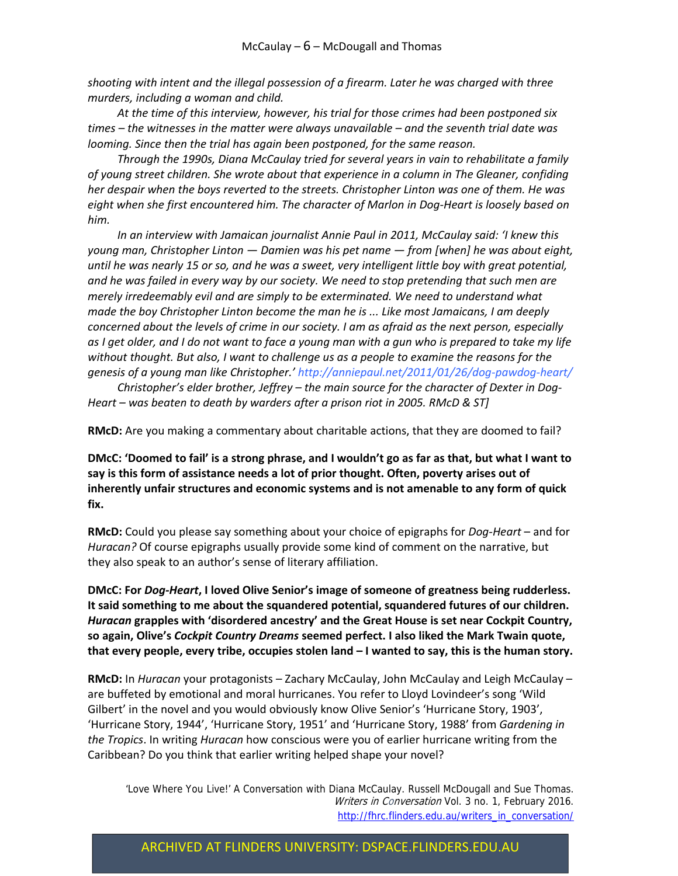*shooting with intent and the illegal possession of a firearm. Later he was charged with three murders, including a woman and child.* 

*At the time of this interview, however, his trial for those crimes had been postponed six times – the witnesses in the matter were always unavailable – and the seventh trial date was looming. Since then the trial has again been postponed, for the same reason.*

*Through the 1990s, Diana McCaulay tried for several years in vain to rehabilitate a family of young street children. She wrote about that experience in a column in The Gleaner, confiding her despair when the boys reverted to the streets. Christopher Linton was one of them. He was eight when she first encountered him. The character of Marlon in Dog‐Heart is loosely based on him.*

*In an interview with Jamaican journalist Annie Paul in 2011, McCaulay said: 'I knew this young man, Christopher Linton — Damien was his pet name — from [when] he was about eight,* until he was nearly 15 or so, and he was a sweet, very intelligent little boy with great potential, *and he was failed in every way by our society. We need to stop pretending that such men are merely irredeemably evil and are simply to be exterminated. We need to understand what made the boy Christopher Linton become the man he is ... Like most Jamaicans, I am deeply concerned about the levels of crime in our society. I am as afraid as the next person, especially* as I get older, and I do not want to face a young man with a gun who is prepared to take my life *without thought. But also, I want to challenge us as a people to examine the reasons for the genesis of a young man like Christopher.' http://anniepaul.net/2011/01/26/dog‐pawdog‐heart/*

*Christopher's elder brother, Jeffrey – the main source for the character of Dexter in Dog‐ Heart – was beaten to death by warders after a prison riot in 2005. RMcD & ST]*

**RMcD:** Are you making a commentary about charitable actions, that they are doomed to fail?

DMcC: 'Doomed to fail' is a strong phrase, and I wouldn't go as far as that, but what I want to **say is this form of assistance needs a lot of prior thought. Often, poverty arises out of inherently unfair structures and economic systems and is not amenable to any form of quick fix.** 

**RMcD:** Could you please say something about your choice of epigraphs for *Dog‐Heart* – and for *Huracan?* Of course epigraphs usually provide some kind of comment on the narrative, but they also speak to an author's sense of literary affiliation.

**DMcC: For** *Dog‐Heart***, I loved Olive Senior's image of someone of greatness being rudderless. It said something to me about the squandered potential, squandered futures of our children.** *Huracan* **grapples with 'disordered ancestry' and the Great House is set near Cockpit Country, so again, Olive's** *Cockpit Country Dreams* **seemed perfect. I also liked the Mark Twain quote,** that every people, every tribe, occupies stolen land - I wanted to say, this is the human story.

**RMcD:** In *Huracan* your protagonists – Zachary McCaulay, John McCaulay and Leigh McCaulay – are buffeted by emotional and moral hurricanes. You refer to Lloyd Lovindeer's song 'Wild Gilbert' in the novel and you would obviously know Olive Senior's 'Hurricane Story, 1903', 'Hurricane Story, 1944', 'Hurricane Story, 1951' and 'Hurricane Story, 1988' from *Gardening in the Tropics*. In writing *Huracan* how conscious were you of earlier hurricane writing from the Caribbean? Do you think that earlier writing helped shape your novel?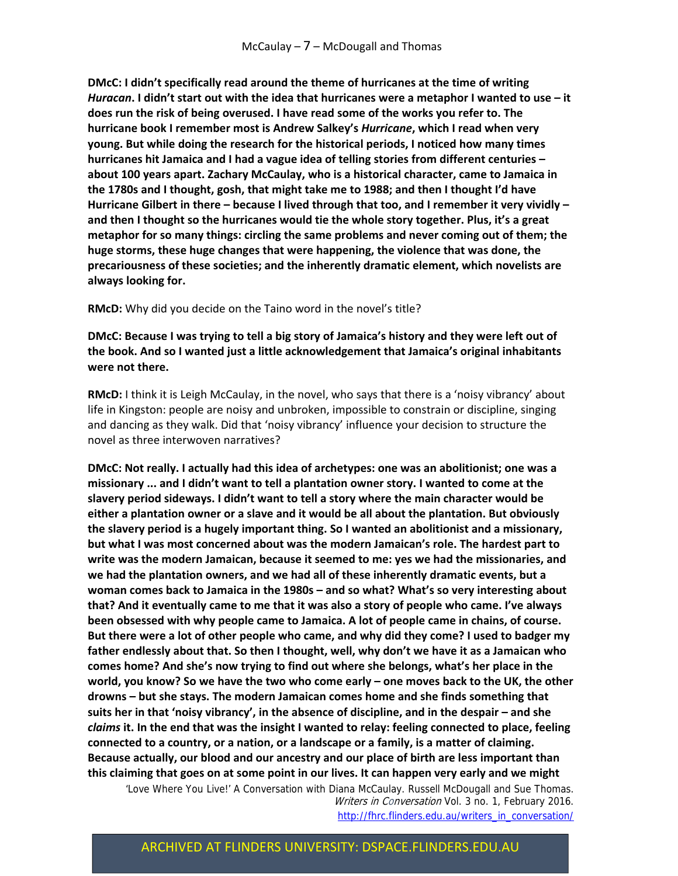**DMcC: I didn't specifically read around the theme of hurricanes at the time of writing** Huracan. I didn't start out with the idea that hurricanes were a metaphor I wanted to use - it **does run the risk of being overused. I have read some of the works you refer to. The hurricane book I remember most is Andrew Salkey's** *Hurricane***, which I read when very young. But while doing the research for the historical periods, I noticed how many times hurricanes hit Jamaica and I had a vague idea of telling stories from different centuries – about 100 years apart. Zachary McCaulay, who is a historical character, came to Jamaica in the 1780s and I thought, gosh, that might take me to 1988; and then I thought I'd have Hurricane Gilbert in there – because I lived through that too, and I remember it very vividly – and then I thought so the hurricanes would tie the whole story together. Plus, it's a great metaphor for so many things: circling the same problems and never coming out of them; the huge storms, these huge changes that were happening, the violence that was done, the precariousness of these societies; and the inherently dramatic element, which novelists are always looking for.** 

**RMcD:** Why did you decide on the Taino word in the novel's title?

#### DMcC: Because I was trying to tell a big story of Jamaica's history and they were left out of **the book. And so I wanted just a little acknowledgement that Jamaica's original inhabitants were not there.**

**RMcD:** I think it is Leigh McCaulay, in the novel, who says that there is a 'noisy vibrancy' about life in Kingston: people are noisy and unbroken, impossible to constrain or discipline, singing and dancing as they walk. Did that 'noisy vibrancy' influence your decision to structure the novel as three interwoven narratives?

**DMcC: Not really. I actually had this idea of archetypes: one was an abolitionist; one was a missionary ... and I didn't want to tell a plantation owner story. I wanted to come at the slavery period sideways. I didn't want to tell a story where the main character would be either a plantation owner or a slave and it would be all about the plantation. But obviously the slavery period is a hugely important thing. So I wanted an abolitionist and a missionary, but what I was most concerned about was the modern Jamaican's role. The hardest part to write was the modern Jamaican, because it seemed to me: yes we had the missionaries, and we had the plantation owners, and we had all of these inherently dramatic events, but a woman comes back to Jamaica in the 1980s – and so what? What's so very interesting about that? And it eventually came to me that it was also a story of people who came. I've always been obsessed with why people came to Jamaica. A lot of people came in chains, of course.** But there were a lot of other people who came, and why did they come? I used to badger my **father endlessly about that. So then I thought, well, why don't we have it as a Jamaican who comes home? And she's now trying to find out where she belongs, what's her place in the** world, you know? So we have the two who come early - one moves back to the UK, the other **drowns – but she stays. The modern Jamaican comes home and she finds something that suits her in that 'noisy vibrancy', in the absence of discipline, and in the despair – and she** *claims* **it. In the end that was the insight I wanted to relay: feeling connected to place, feeling connected to a country, or a nation, or a landscape or a family, is a matter of claiming. Because actually, our blood and our ancestry and our place of birth are less important than** this claiming that goes on at some point in our lives. It can happen very early and we might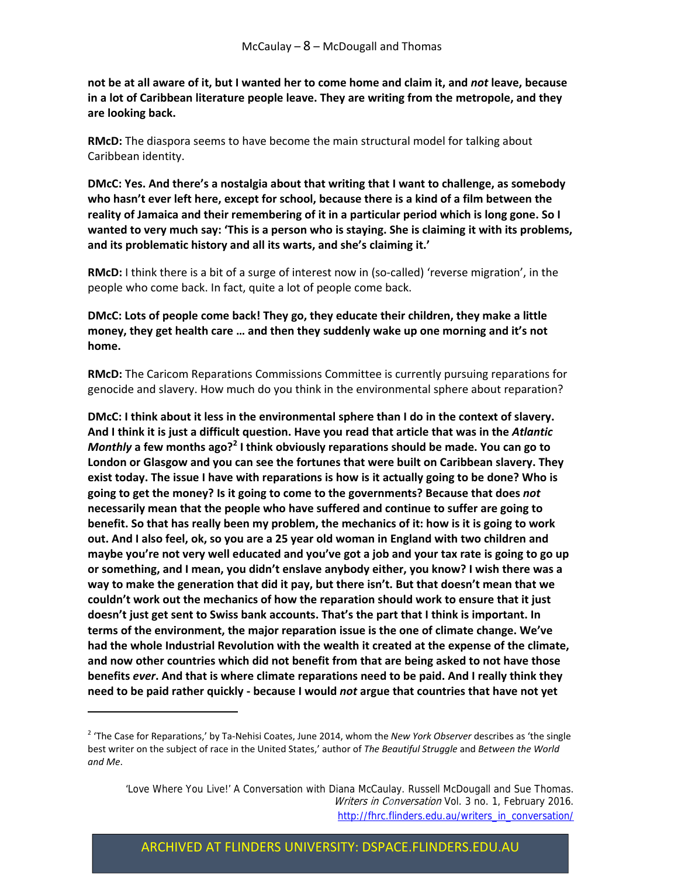not be at all aware of it, but I wanted her to come home and claim it, and not leave, because **in a lot of Caribbean literature people leave. They are writing from the metropole, and they are looking back.**

**RMcD:** The diaspora seems to have become the main structural model for talking about Caribbean identity.

**DMcC: Yes. And there's a nostalgia about that writing that I want to challenge, as somebody who hasn't ever left here, except for school, because there is a kind of a film between the reality of Jamaica and their remembering of it in a particular period which is long gone. So I** wanted to very much say: 'This is a person who is staying. She is claiming it with its problems, **and its problematic history and all its warts, and she's claiming it.'**

**RMcD:** I think there is a bit of a surge of interest now in (so-called) 'reverse migration', in the people who come back. In fact, quite a lot of people come back.

**DMcC: Lots of people come back! They go, they educate their children, they make a little money, they get health care … and then they suddenly wake up one morning and it's not home.**

**RMcD:** The Caricom Reparations Commissions Committee is currently pursuing reparations for genocide and slavery. How much do you think in the environmental sphere about reparation?

**DMcC: I think about it less in the environmental sphere than I do in the context of slavery.** And I think it is just a difficult question. Have you read that article that was in the Atlantic *Monthly* **a few months ago?<sup>2</sup> I think obviously reparations should be made. You can go to London or Glasgow and you can see the fortunes that were built on Caribbean slavery. They** exist today. The issue I have with reparations is how is it actually going to be done? Who is **going to get the money? Is it going to come to the governments? Because that does** *not* **necessarily mean that the people who have suffered and continue to suffer are going to** benefit. So that has really been my problem, the mechanics of it: how is it is going to work out. And I also feel, ok, so you are a 25 year old woman in England with two children and maybe you're not very well educated and you've got a job and your tax rate is going to go up **or something, and I mean, you didn't enslave anybody either, you know? I wish there was a way to make the generation that did it pay, but there isn't. But that doesn't mean that we couldn't work out the mechanics of how the reparation should work to ensure that it just doesn't just get sent to Swiss bank accounts. That's the part that I think is important. In terms of the environment, the major reparation issue is the one of climate change. We've had the whole Industrial Revolution with the wealth it created at the expense of the climate, and now other countries which did not benefit from that are being asked to not have those benefits** *ever***. And that is where climate reparations need to be paid. And I really think they need to be paid rather quickly ‐ because I would** *not* **argue that countries that have not yet**

<sup>2</sup> 'The Case for Reparations,' by Ta‐Nehisi Coates, June 2014, whom the *New York Observer* describes as 'the single best writer on the subject of race in the United States,' author of *The Beautiful Struggle* and *Between the World and Me*.

 <sup>&#</sup>x27;Love Where You Live!' A Conversation with Diana McCaulay. Russell McDougall and Sue Thomas. Writers in Conversation Vol. 3 no. 1, February 2016. http://fhrc.flinders.edu.au/writers\_in\_conversation/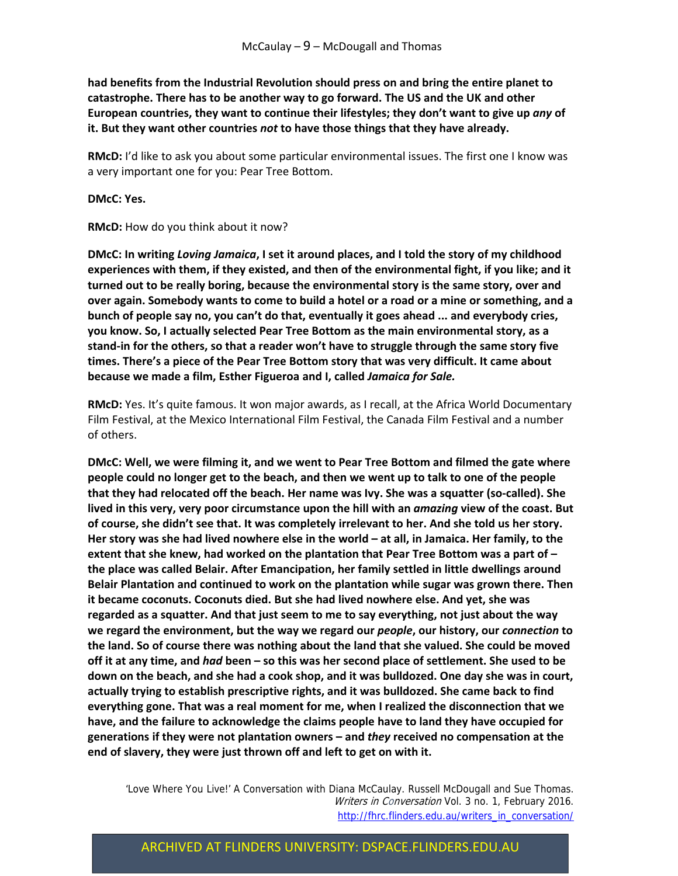**had benefits from the Industrial Revolution should press on and bring the entire planet to catastrophe. There has to be another way to go forward. The US and the UK and other European countries, they want to continue their lifestyles; they don't want to give up** *any* **of it. But they want other countries** *not* **to have those things that they have already.** 

**RMcD:** I'd like to ask you about some particular environmental issues. The first one I know was a very important one for you: Pear Tree Bottom.

**DMcC: Yes.**

**RMcD:** How do you think about it now?

DMcC: In writing Loving Jamaica, I set it around places, and I told the story of my childhood **experiences with them, if they existed, and then of the environmental fight, if you like; and it turned out to be really boring, because the environmental story is the same story, over and** over again. Somebody wants to come to build a hotel or a road or a mine or something, and a **bunch of people say no, you can't do that, eventually it goes ahead ... and everybody cries, you know. So, I actually selected Pear Tree Bottom as the main environmental story, as a** stand-in for the others, so that a reader won't have to struggle through the same story five **times. There's a piece of the Pear Tree Bottom story that was very difficult. It came about because we made a film, Esther Figueroa and I, called** *Jamaica for Sale.*

**RMcD:** Yes. It's quite famous. It won major awards, as I recall, at the Africa World Documentary Film Festival, at the Mexico International Film Festival, the Canada Film Festival and a number of others.

**DMcC: Well, we were filming it, and we went to Pear Tree Bottom and filmed the gate where** people could no longer get to the beach, and then we went up to talk to one of the people that they had relocated off the beach. Her name was Ivy. She was a squatter (so-called). She **lived in this very, very poor circumstance upon the hill with an** *amazing* **view of the coast. But of course, she didn't see that. It was completely irrelevant to her. And she told us her story.** Her story was she had lived nowhere else in the world - at all, in Jamaica. Her family, to the **extent that she knew, had worked on the plantation that Pear Tree Bottom was a part of – the place was called Belair. After Emancipation, her family settled in little dwellings around Belair Plantation and continued to work on the plantation while sugar was grown there. Then it became coconuts. Coconuts died. But she had lived nowhere else. And yet, she was regarded as a squatter. And that just seem to me to say everything, not just about the way we regard the environment, but the way we regard our** *people***, our history, our** *connection* **to the land. So of course there was nothing about the land that she valued. She could be moved** off it at any time, and had been – so this was her second place of settlement. She used to be down on the beach, and she had a cook shop, and it was bulldozed. One day she was in court, **actually trying to establish prescriptive rights, and it was bulldozed. She came back to find everything gone. That was a real moment for me, when I realized the disconnection that we have, and the failure to acknowledge the claims people have to land they have occupied for generations if they were not plantation owners – and** *they* **received no compensation at the end of slavery, they were just thrown off and left to get on with it.**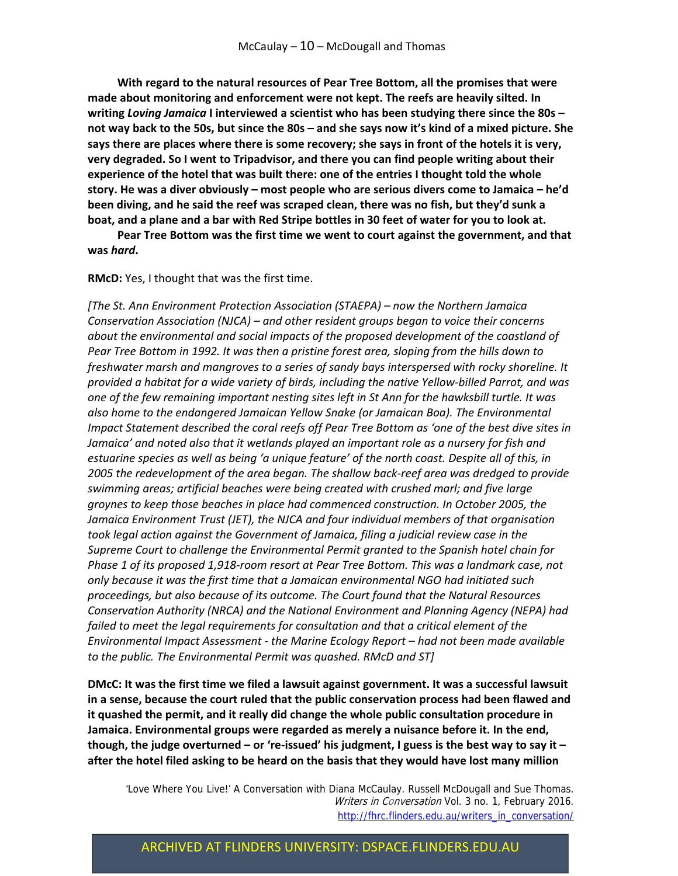**With regard to the natural resources of Pear Tree Bottom, all the promises that were made about monitoring and enforcement were not kept. The reefs are heavily silted. In writing** *Loving Jamaica* **I interviewed a scientist who has been studying there since the 80s –** not way back to the 50s, but since the 80s – and she says now it's kind of a mixed picture. She says there are places where there is some recovery; she says in front of the hotels it is very, **very degraded. So I went to Tripadvisor, and there you can find people writing about their experience of the hotel that was built there: one of the entries I thought told the whole story. He was a diver obviously – most people who are serious divers come to Jamaica – he'd been diving, and he said the reef was scraped clean, there was no fish, but they'd sunk a** boat, and a plane and a bar with Red Stripe bottles in 30 feet of water for you to look at.

**Pear Tree Bottom was the first time we went to court against the government, and that was** *hard***.** 

**RMcD:** Yes, I thought that was the first time.

*[The St. Ann Environment Protection Association (STAEPA) – now the Northern Jamaica Conservation Association (NJCA) – and other resident groups began to voice their concerns about the environmental and social impacts of the proposed development of the coastland of Pear Tree Bottom in 1992. It was then a pristine forest area, sloping from the hills down to freshwater marsh and mangroves to a series of sandy bays interspersed with rocky shoreline. It provided a habitat for a wide variety of birds, including the native Yellow‐billed Parrot, and was one of the few remaining important nesting sites left in St Ann for the hawksbill turtle. It was also home to the endangered Jamaican Yellow Snake (or Jamaican Boa). The Environmental Impact Statement described the coral reefs off Pear Tree Bottom as 'one of the best dive sites in Jamaica' and noted also that it wetlands played an important role as a nursery for fish and estuarine species as well as being 'a unique feature' of the north coast. Despite all of this, in 2005 the redevelopment of the area began. The shallow back‐reef area was dredged to provide swimming areas; artificial beaches were being created with crushed marl; and five large groynes to keep those beaches in place had commenced construction. In October 2005, the Jamaica Environment Trust (JET), the NJCA and four individual members of that organisation took legal action against the Government of Jamaica, filing a judicial review case in the Supreme Court to challenge the Environmental Permit granted to the Spanish hotel chain for* Phase 1 of its proposed 1,918-room resort at Pear Tree Bottom. This was a landmark case, not *only because it was the first time that a Jamaican environmental NGO had initiated such proceedings, but also because of its outcome. The Court found that the Natural Resources Conservation Authority (NRCA) and the National Environment and Planning Agency (NEPA) had failed to meet the legal requirements for consultation and that a critical element of the Environmental Impact Assessment ‐ the Marine Ecology Report – had not been made available to the public. The Environmental Permit was quashed. RMcD and ST]*

**DMcC: It was the first time we filed a lawsuit against government. It was a successful lawsuit in a sense, because the court ruled that the public conservation process had been flawed and it quashed the permit, and it really did change the whole public consultation procedure in Jamaica. Environmental groups were regarded as merely a nuisance before it. In the end,** though, the judge overturned – or 're-issued' his judgment, I guess is the best way to say it – **after the hotel filed asking to be heard on the basis that they would have lost many million**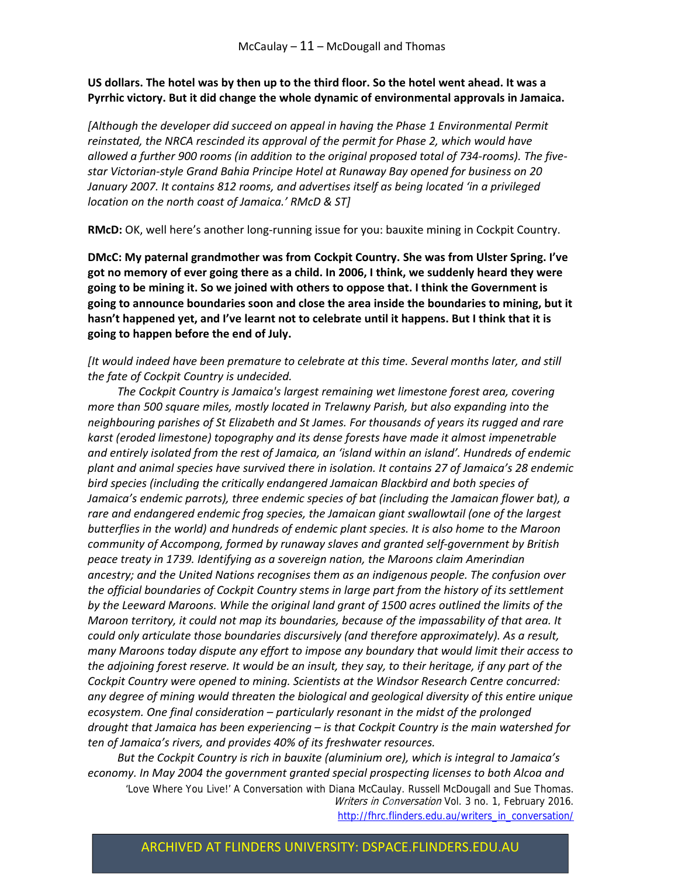#### US dollars. The hotel was by then up to the third floor. So the hotel went ahead. It was a **Pyrrhic victory. But it did change the whole dynamic of environmental approvals in Jamaica.**

*[Although the developer did succeed on appeal in having the Phase 1 Environmental Permit reinstated, the NRCA rescinded its approval of the permit for Phase 2, which would have* allowed a further 900 rooms (in addition to the original proposed total of 734-rooms). The five*star Victorian‐style Grand Bahia Principe Hotel at Runaway Bay opened for business on 20 January 2007. It contains 812 rooms, and advertises itself as being located 'in a privileged location on the north coast of Jamaica.' RMcD & ST]*

**RMcD:** OK, well here's another long‐running issue for you: bauxite mining in Cockpit Country.

**DMcC: My paternal grandmother was from Cockpit Country. She was from Ulster Spring. I've got no memory of ever going there as a child. In 2006, I think, we suddenly heard they were going to be mining it. So we joined with others to oppose that. I think the Government is going to announce boundaries soon and close the area inside the boundaries to mining, but it hasn't happened yet, and I've learnt not to celebrate until it happens. But I think that it is going to happen before the end of July.** 

*[It would indeed have been premature to celebrate at this time. Several months later, and still the fate of Cockpit Country is undecided.* 

*The Cockpit Country is Jamaica's largest remaining wet limestone forest area, covering more than 500 square miles, mostly located in Trelawny Parish, but also expanding into the neighbouring parishes of St Elizabeth and St James. For thousands of years its rugged and rare karst (eroded limestone) topography and its dense forests have made it almost impenetrable and entirely isolated from the rest of Jamaica, an 'island within an island'. Hundreds of endemic plant and animal species have survived there in isolation. It contains 27 of Jamaica's 28 endemic bird species (including the critically endangered Jamaican Blackbird and both species of Jamaica's endemic parrots), three endemic species of bat (including the Jamaican flower bat), a rare and endangered endemic frog species, the Jamaican giant swallowtail (one of the largest butterflies in the world) and hundreds of endemic plant species. It is also home to the Maroon community of Accompong, formed by runaway slaves and granted self‐government by British peace treaty in 1739. Identifying as a sovereign nation, the Maroons claim Amerindian ancestry; and the United Nations recognises them as an indigenous people. The confusion over the official boundaries of Cockpit Country stems in large part from the history of its settlement by the Leeward Maroons. While the original land grant of 1500 acres outlined the limits of the Maroon territory, it could not map its boundaries, because of the impassability of that area. It could only articulate those boundaries discursively (and therefore approximately). As a result, many Maroons today dispute any effort to impose any boundary that would limit their access to* the adjoining forest reserve. It would be an insult, they say, to their heritage, if any part of the *Cockpit Country were opened to mining. Scientists at the Windsor Research Centre concurred: any degree of mining would threaten the biological and geological diversity of this entire unique ecosystem. One final consideration – particularly resonant in the midst of the prolonged drought that Jamaica has been experiencing – is that Cockpit Country is the main watershed for ten of Jamaica's rivers, and provides 40% of its freshwater resources.*

*But the Cockpit Country is rich in bauxite (aluminium ore), which is integral to Jamaica's economy. In May 2004 the government granted special prospecting licenses to both Alcoa and*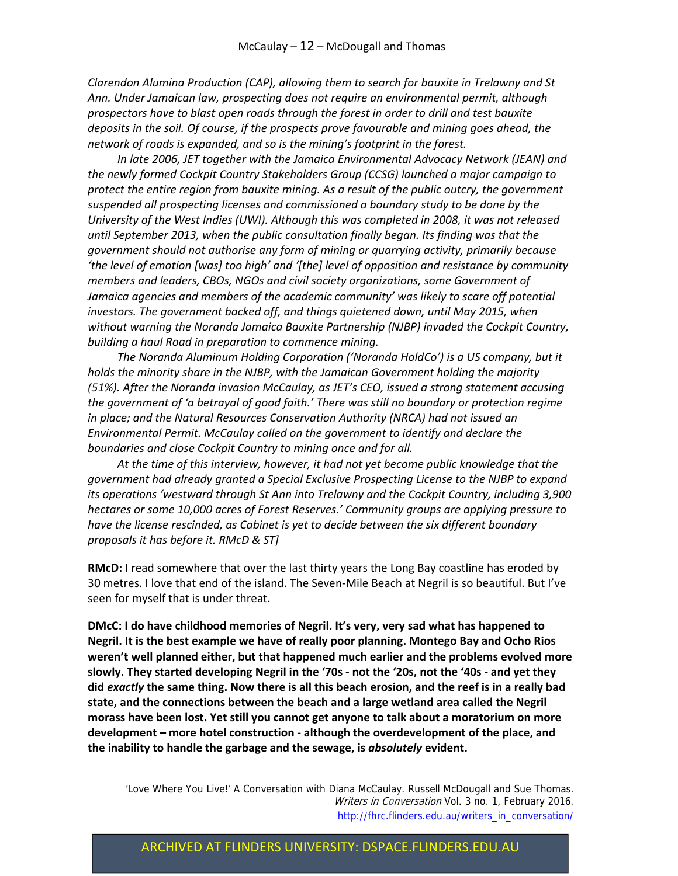*Clarendon Alumina Production (CAP), allowing them to search for bauxite in Trelawny and St Ann. Under Jamaican law, prospecting does not require an environmental permit, although prospectors have to blast open roads through the forest in order to drill and test bauxite deposits in the soil. Of course, if the prospects prove favourable and mining goes ahead, the network of roads is expanded, and so is the mining's footprint in the forest.* 

*In late 2006, JET together with the Jamaica Environmental Advocacy Network (JEAN) and the newly formed Cockpit Country Stakeholders Group (CCSG) launched a major campaign to protect the entire region from bauxite mining. As a result of the public outcry, the government suspended all prospecting licenses and commissioned a boundary study to be done by the University of the West Indies (UWI). Although this was completed in 2008, it was not released until September 2013, when the public consultation finally began. Its finding was that the government should not authorise any form of mining or quarrying activity, primarily because 'the level of emotion [was] too high' and '[the] level of opposition and resistance by community members and leaders, CBOs, NGOs and civil society organizations, some Government of Jamaica agencies and members of the academic community' was likely to scare off potential investors. The government backed off, and things quietened down, until May 2015, when without warning the Noranda Jamaica Bauxite Partnership (NJBP) invaded the Cockpit Country, building a haul Road in preparation to commence mining.* 

*The Noranda Aluminum Holding Corporation ('Noranda HoldCo') is a US company, but it holds the minority share in the NJBP, with the Jamaican Government holding the majority (51%). After the Noranda invasion McCaulay, as JET's CEO, issued a strong statement accusing the government of 'a betrayal of good faith.' There was still no boundary or protection regime in place; and the Natural Resources Conservation Authority (NRCA) had not issued an Environmental Permit. McCaulay called on the government to identify and declare the boundaries and close Cockpit Country to mining once and for all.* 

*At the time of this interview, however, it had not yet become public knowledge that the government had already granted a Special Exclusive Prospecting License to the NJBP to expand its operations 'westward through St Ann into Trelawny and the Cockpit Country, including 3,900 hectares or some 10,000 acres of Forest Reserves.' Community groups are applying pressure to have the license rescinded, as Cabinet is yet to decide between the six different boundary proposals it has before it. RMcD & ST]* 

**RMcD:** I read somewhere that over the last thirty years the Long Bay coastline has eroded by 30 metres. I love that end of the island. The Seven‐Mile Beach at Negril is so beautiful. But I've seen for myself that is under threat.

**DMcC: I do have childhood memories of Negril. It's very, very sad what has happened to Negril. It is the best example we have of really poor planning. Montego Bay and Ocho Rios weren't well planned either, but that happened much earlier and the problems evolved more** slowly. They started developing Negril in the '70s - not the '20s, not the '40s - and yet they did exactly the same thing. Now there is all this beach erosion, and the reef is in a really bad **state, and the connections between the beach and a large wetland area called the Negril morass have been lost. Yet still you cannot get anyone to talk about a moratorium on more development – more hotel construction ‐ although the overdevelopment of the place, and the inability to handle the garbage and the sewage, is** *absolutely* **evident.**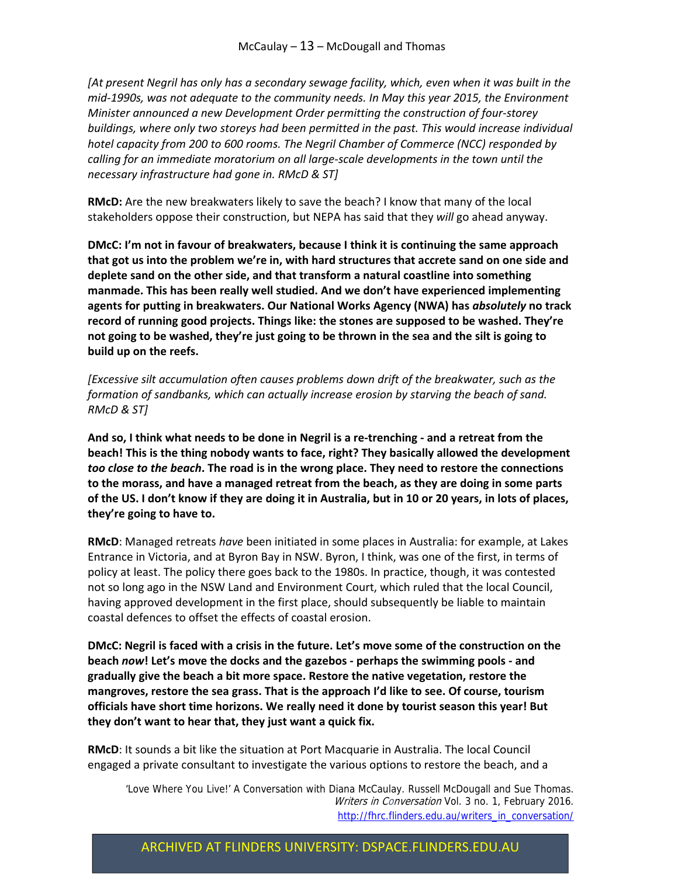*[At present Negril has only has a secondary sewage facility, which, even when it was built in the mid‐1990s, was not adequate to the community needs. In May this year 2015, the Environment Minister announced a new Development Order permitting the construction of four‐storey buildings, where only two storeys had been permitted in the past. This would increase individual hotel capacity from 200 to 600 rooms. The Negril Chamber of Commerce (NCC) responded by calling for an immediate moratorium on all large‐scale developments in the town until the necessary infrastructure had gone in. RMcD & ST]* 

**RMcD:** Are the new breakwaters likely to save the beach? I know that many of the local stakeholders oppose their construction, but NEPA has said that they *will* go ahead anyway.

**DMcC: I'm not in favour of breakwaters, because I think it is continuing the same approach that got us into the problem we're in, with hard structures that accrete sand on one side and deplete sand on the other side, and that transform a natural coastline into something manmade. This has been really well studied. And we don't have experienced implementing agents for putting in breakwaters. Our National Works Agency (NWA) has** *absolutely* **no track record of running good projects. Things like: the stones are supposed to be washed. They're** not going to be washed, they're just going to be thrown in the sea and the silt is going to **build up on the reefs.** 

*[Excessive silt accumulation often causes problems down drift of the breakwater, such as the formation of sandbanks, which can actually increase erosion by starving the beach of sand. RMcD & ST]*

And so, I think what needs to be done in Negril is a re-trenching - and a retreat from the **beach! This is the thing nobody wants to face, right? They basically allowed the development** too close to the beach. The road is in the wrong place. They need to restore the connections **to the morass, and have a managed retreat from the beach, as they are doing in some parts** of the US. I don't know if they are doing it in Australia, but in 10 or 20 years, in lots of places, **they're going to have to.** 

**RMcD**: Managed retreats *have* been initiated in some places in Australia: for example, at Lakes Entrance in Victoria, and at Byron Bay in NSW. Byron, I think, was one of the first, in terms of policy at least. The policy there goes back to the 1980s. In practice, though, it was contested not so long ago in the NSW Land and Environment Court, which ruled that the local Council, having approved development in the first place, should subsequently be liable to maintain coastal defences to offset the effects of coastal erosion.

**DMcC: Negril is faced with a crisis in the future. Let's move some of the construction on the beach** *now***! Let's move the docks and the gazebos ‐ perhaps the swimming pools ‐ and gradually give the beach a bit more space. Restore the native vegetation, restore the mangroves, restore the sea grass. That is the approach I'd like to see. Of course, tourism officials have short time horizons. We really need it done by tourist season this year! But they don't want to hear that, they just want a quick fix.** 

**RMcD**: It sounds a bit like the situation at Port Macquarie in Australia. The local Council engaged a private consultant to investigate the various options to restore the beach, and a

 'Love Where You Live!' A Conversation with Diana McCaulay. Russell McDougall and Sue Thomas. Writers in Conversation Vol. 3 no. 1, February 2016. http://fhrc.flinders.edu.au/writers\_in\_conversation/

# ARCHIVED AT FLINDERS UNIVERSITY: DSPACE.FLINDERS.EDU.AU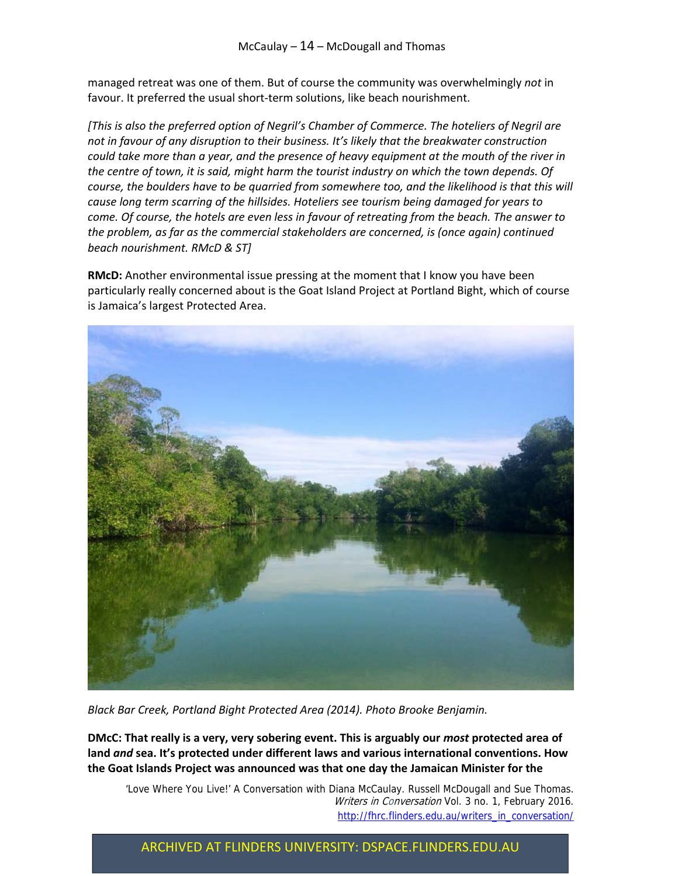managed retreat was one of them. But of course the community was overwhelmingly *not* in favour. It preferred the usual short-term solutions, like beach nourishment.

*[This is also the preferred option of Negril's Chamber of Commerce. The hoteliers of Negril are not in favour of any disruption to their business. It's likely that the breakwater construction* could take more than a year, and the presence of heavy equipment at the mouth of the river in *the centre of town, it is said, might harm the tourist industry on which the town depends. Of course, the boulders have to be quarried from somewhere too, and the likelihood is that this will cause long term scarring of the hillsides. Hoteliers see tourism being damaged for years to come. Of course, the hotels are even less in favour of retreating from the beach. The answer to the problem, as far as the commercial stakeholders are concerned, is (once again) continued beach nourishment. RMcD & ST]*

**RMcD:** Another environmental issue pressing at the moment that I know you have been particularly really concerned about is the Goat Island Project at Portland Bight, which of course is Jamaica's largest Protected Area.



*Black Bar Creek, Portland Bight Protected Area (2014). Photo Brooke Benjamin.*

**DMcC: That really is a very, very sobering event. This is arguably our** *most* **protected area of land** *and* **sea. It's protected under different laws and various international conventions. How the Goat Islands Project was announced was that one day the Jamaican Minister for the**

 'Love Where You Live!' A Conversation with Diana McCaulay. Russell McDougall and Sue Thomas. Writers in Conversation Vol. 3 no. 1, February 2016. http://fhrc.flinders.edu.au/writers\_in\_conversation/

# ARCHIVED AT FLINDERS UNIVERSITY: DSPACE.FLINDERS.EDU.AU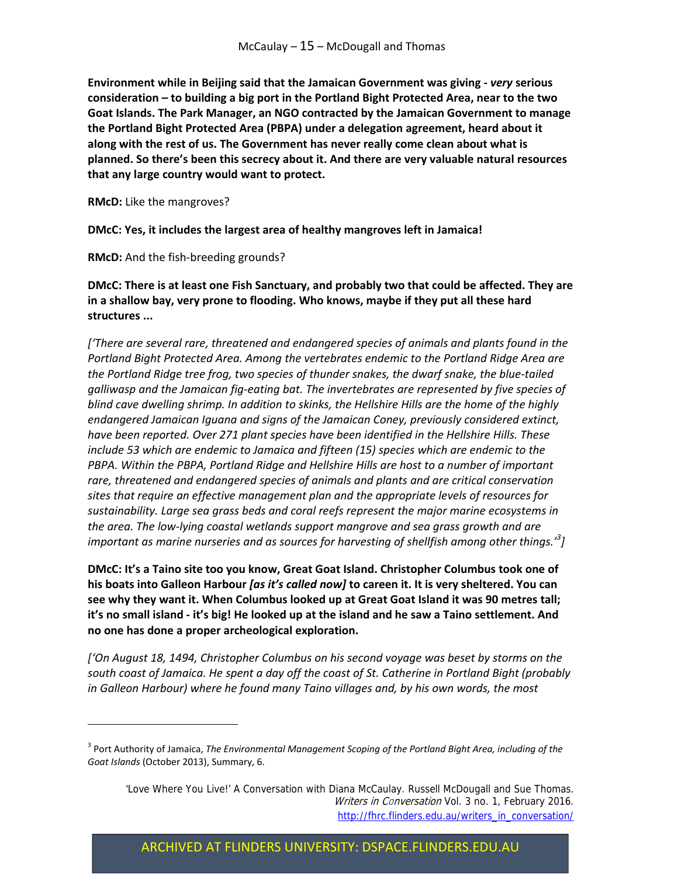**Environment while in Beijing said that the Jamaican Government was giving ‐** *very* **serious consideration – to building a big port in the Portland Bight Protected Area, near to the two Goat Islands. The Park Manager, an NGO contracted by the Jamaican Government to manage the Portland Bight Protected Area (PBPA) under a delegation agreement, heard about it along with the rest of us. The Government has never really come clean about what is planned. So there's been this secrecy about it. And there are very valuable natural resources that any large country would want to protect.** 

**RMcD:** Like the mangroves?

**DMcC: Yes, it includes the largest area of healthy mangroves left in Jamaica!** 

**RMcD:** And the fish‐breeding grounds?

**DMcC: There is at least one Fish Sanctuary, and probably two that could be affected. They are in a shallow bay, very prone to flooding. Who knows, maybe if they put all these hard structures ...**

*['There are several rare, threatened and endangered species of animals and plants found in the Portland Bight Protected Area. Among the vertebrates endemic to the Portland Ridge Area are the Portland Ridge tree frog, two species of thunder snakes, the dwarf snake, the blue‐tailed galliwasp and the Jamaican fig‐eating bat. The invertebrates are represented by five species of blind cave dwelling shrimp. In addition to skinks, the Hellshire Hills are the home of the highly endangered Jamaican Iguana and signs of the Jamaican Coney, previously considered extinct, have been reported. Over 271 plant species have been identified in the Hellshire Hills. These include 53 which are endemic to Jamaica and fifteen (15) species which are endemic to the PBPA. Within the PBPA, Portland Ridge and Hellshire Hills are host to a number of important rare, threatened and endangered species of animals and plants and are critical conservation sites that require an effective management plan and the appropriate levels of resources for sustainability. Large sea grass beds and coral reefs represent the major marine ecosystems in the area. The low‐lying coastal wetlands support mangrove and sea grass growth and are important as marine nurseries and as sources for harvesting of shellfish among other things.'<sup>3</sup> ]*

**DMcC: It's a Taino site too you know, Great Goat Island. Christopher Columbus took one of his boats into Galleon Harbour** *[as it's called now]* **to careen it. It is very sheltered. You can see why they want it. When Columbus looked up at Great Goat Island it was 90 metres tall;** it's no small island - it's big! He looked up at the island and he saw a Taino settlement. And **no one has done a proper archeological exploration.** 

*['On August 18, 1494, Christopher Columbus on his second voyage was beset by storms on the south coast of Jamaica. He spent a day off the coast of St. Catherine in Portland Bight (probably in Galleon Harbour) where he found many Taino villages and, by his own words, the most*

<sup>3</sup> Port Authority of Jamaica, *The Environmental Management Scoping of the Portland Bight Area, including of the Goat Islands* (October 2013), Summary, 6.

 <sup>&#</sup>x27;Love Where You Live!' A Conversation with Diana McCaulay. Russell McDougall and Sue Thomas. Writers in Conversation Vol. 3 no. 1, February 2016. http://fhrc.flinders.edu.au/writers\_in\_conversation/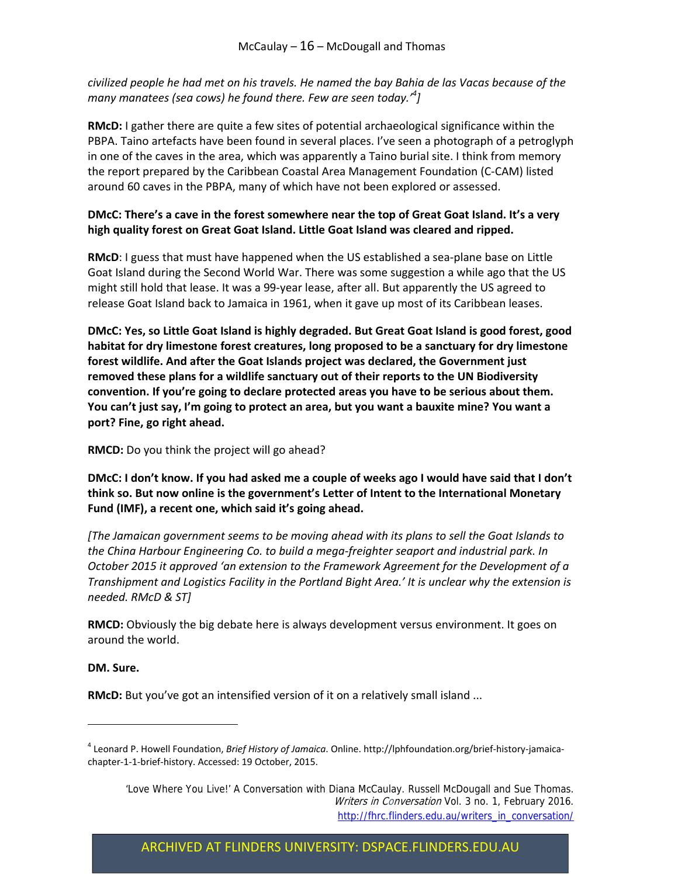civilized people he had met on his travels. He named the bay Bahia de las Vacas because of the *many manatees (sea cows) he found there. Few are seen today.'<sup>4</sup> ]*

**RMcD:** I gather there are quite a few sites of potential archaeological significance within the PBPA. Taino artefacts have been found in several places. I've seen a photograph of a petroglyph in one of the caves in the area, which was apparently a Taino burial site. I think from memory the report prepared by the Caribbean Coastal Area Management Foundation (C‐CAM) listed around 60 caves in the PBPA, many of which have not been explored or assessed.

#### **DMcC: There's a cave in the forest somewhere near the top of Great Goat Island. It's a very high quality forest on Great Goat Island. Little Goat Island was cleared and ripped.**

**RMcD**: I guess that must have happened when the US established a sea‐plane base on Little Goat Island during the Second World War. There was some suggestion a while ago that the US might still hold that lease. It was a 99‐year lease, after all. But apparently the US agreed to release Goat Island back to Jamaica in 1961, when it gave up most of its Caribbean leases.

**DMcC: Yes, so Little Goat Island is highly degraded. But Great Goat Island is good forest, good habitat for dry limestone forest creatures, long proposed to be a sanctuary for dry limestone forest wildlife. And after the Goat Islands project was declared, the Government just removed these plans for a wildlife sanctuary out of their reports to the UN Biodiversity convention. If you're going to declare protected areas you have to be serious about them. You can't just say, I'm going to protect an area, but you want a bauxite mine? You want a port? Fine, go right ahead.**

**RMCD:** Do you think the project will go ahead?

DMcC: I don't know. If you had asked me a couple of weeks ago I would have said that I don't **think so. But now online is the government's Letter of Intent to the International Monetary Fund (IMF), a recent one, which said it's going ahead.**

*[The Jamaican government seems to be moving ahead with its plans to sell the Goat Islands to the China Harbour Engineering Co. to build a mega‐freighter seaport and industrial park. In October 2015 it approved 'an extension to the Framework Agreement for the Development of a Transhipment and Logistics Facility in the Portland Bight Area.' It is unclear why the extension is needed. RMcD & ST]*

**RMCD:** Obviously the big debate here is always development versus environment. It goes on around the world.

#### **DM. Sure.**

**RMcD:** But you've got an intensified version of it on a relatively small island ...

ARCHIVED AT FLINDERS UNIVERSITY: DSPACE.FLINDERS.EDU.AU

<sup>4</sup> Leonard P. Howell Foundation, *Brief History of Jamaica*. Online. http://lphfoundation.org/brief‐history‐jamaica‐ chapter‐1‐1‐brief‐history. Accessed: 19 October, 2015.

 <sup>&#</sup>x27;Love Where You Live!' A Conversation with Diana McCaulay. Russell McDougall and Sue Thomas. Writers in Conversation Vol. 3 no. 1, February 2016. http://fhrc.flinders.edu.au/writers\_in\_conversation/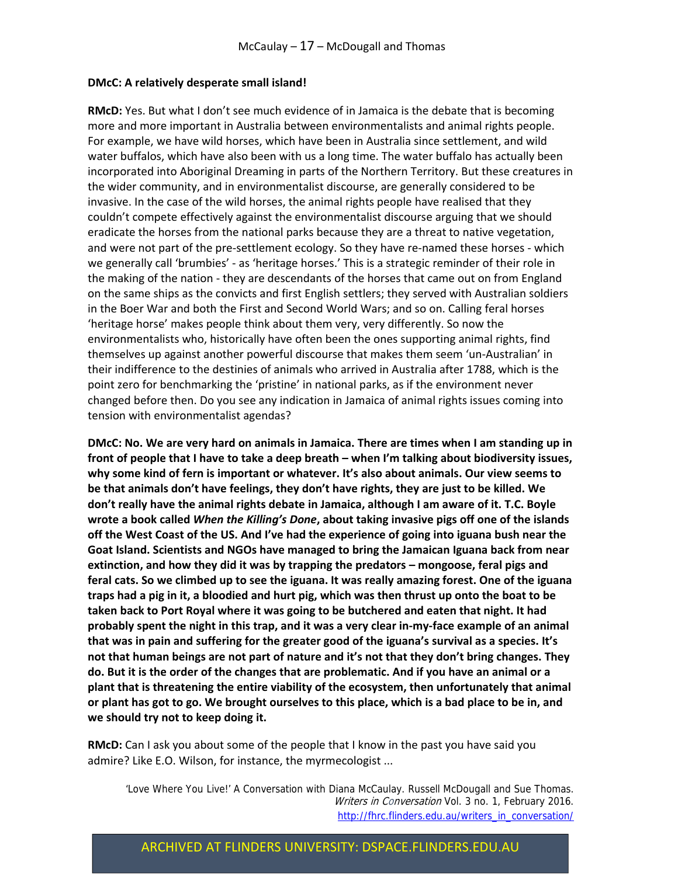#### **DMcC: A relatively desperate small island!**

**RMcD:** Yes. But what I don't see much evidence of in Jamaica is the debate that is becoming more and more important in Australia between environmentalists and animal rights people. For example, we have wild horses, which have been in Australia since settlement, and wild water buffalos, which have also been with us a long time. The water buffalo has actually been incorporated into Aboriginal Dreaming in parts of the Northern Territory. But these creatures in the wider community, and in environmentalist discourse, are generally considered to be invasive. In the case of the wild horses, the animal rights people have realised that they couldn't compete effectively against the environmentalist discourse arguing that we should eradicate the horses from the national parks because they are a threat to native vegetation, and were not part of the pre‐settlement ecology. So they have re‐named these horses ‐ which we generally call 'brumbies' ‐ as 'heritage horses.' This is a strategic reminder of their role in the making of the nation ‐ they are descendants of the horses that came out on from England on the same ships as the convicts and first English settlers; they served with Australian soldiers in the Boer War and both the First and Second World Wars; and so on. Calling feral horses 'heritage horse' makes people think about them very, very differently. So now the environmentalists who, historically have often been the ones supporting animal rights, find themselves up against another powerful discourse that makes them seem 'un‐Australian' in their indifference to the destinies of animals who arrived in Australia after 1788, which is the point zero for benchmarking the 'pristine' in national parks, as if the environment never changed before then. Do you see any indication in Jamaica of animal rights issues coming into tension with environmentalist agendas?

**DMcC: No. We are very hard on animals in Jamaica. There are times when I am standing up in front of people that I have to take a deep breath – when I'm talking about biodiversity issues, why some kind of fern is important or whatever. It's also about animals. Our view seems to be that animals don't have feelings, they don't have rights, they are just to be killed. We don't really have the animal rights debate in Jamaica, although I am aware of it. T.C. Boyle wrote a book called** *When the Killing's Done***, about taking invasive pigs off one of the islands** off the West Coast of the US. And I've had the experience of going into iguana bush near the **Goat Island. Scientists and NGOs have managed to bring the Jamaican Iguana back from near extinction, and how they did it was by trapping the predators – mongoose, feral pigs and** feral cats. So we climbed up to see the iguana. It was really amazing forest. One of the iguana traps had a pig in it, a bloodied and hurt pig, which was then thrust up onto the boat to be **taken back to Port Royal where it was going to be butchered and eaten that night. It had** probably spent the night in this trap, and it was a very clear in-my-face example of an animal **that was in pain and suffering for the greater good of the iguana's survival as a species. It's not that human beings are not part of nature and it's not that they don't bring changes. They** do. But it is the order of the changes that are problematic. And if you have an animal or a **plant that is threatening the entire viability of the ecosystem, then unfortunately that animal** or plant has got to go. We brought ourselves to this place, which is a bad place to be in, and **we should try not to keep doing it.**

**RMcD:** Can I ask you about some of the people that I know in the past you have said you admire? Like E.O. Wilson, for instance, the myrmecologist ...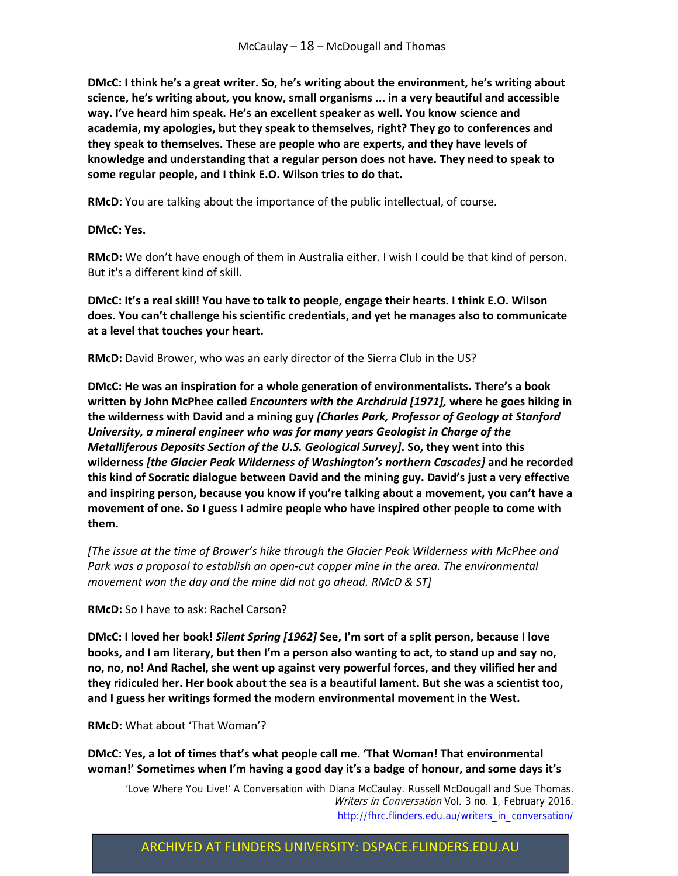**DMcC: I think he's a great writer. So, he's writing about the environment, he's writing about science, he's writing about, you know, small organisms ... in a very beautiful and accessible way. I've heard him speak. He's an excellent speaker as well. You know science and academia, my apologies, but they speak to themselves, right? They go to conferences and they speak to themselves. These are people who are experts, and they have levels of knowledge and understanding that a regular person does not have. They need to speak to some regular people, and I think E.O. Wilson tries to do that.** 

**RMcD:** You are talking about the importance of the public intellectual, of course.

**DMcC: Yes.**

**RMcD:** We don't have enough of them in Australia either. I wish I could be that kind of person. But it's a different kind of skill.

**DMcC: It's a real skill! You have to talk to people, engage their hearts. I think E.O. Wilson does. You can't challenge his scientific credentials, and yet he manages also to communicate at a level that touches your heart.**

**RMcD:** David Brower, who was an early director of the Sierra Club in the US?

**DMcC: He was an inspiration for a whole generation of environmentalists. There's a book written by John McPhee called** *Encounters with the Archdruid [1971],* **where he goes hiking in the wilderness with David and a mining guy** *[Charles Park, Professor of Geology at Stanford University, a mineral engineer who was for many years Geologist in Charge of the Metalliferous Deposits Section of the U.S. Geological Survey]***. So, they went into this wilderness** *[the Glacier Peak Wilderness of Washington's northern Cascades]* **and he recorded this kind of Socratic dialogue between David and the mining guy. David's just a very effective and inspiring person, because you know if you're talking about a movement, you can't have a movement of one. So I guess I admire people who have inspired other people to come with them.** 

*[The issue at the time of Brower's hike through the Glacier Peak Wilderness with McPhee and Park was a proposal to establish an open‐cut copper mine in the area. The environmental movement won the day and the mine did not go ahead. RMcD & ST]*

**RMcD:** So I have to ask: Rachel Carson?

**DMcC: I loved her book!** *Silent Spring [1962]* **See, I'm sort of a split person, because I love** books, and I am literary, but then I'm a person also wanting to act, to stand up and say no, **no, no, no! And Rachel, she went up against very powerful forces, and they vilified her and they ridiculed her. Her book about the sea is a beautiful lament. But she was a scientist too, and I guess her writings formed the modern environmental movement in the West.** 

**RMcD:** What about 'That Woman'?

**DMcC: Yes, a lot of times that's what people call me. 'That Woman! That environmental woman!' Sometimes when I'm having a good day it's a badge of honour, and some days it's**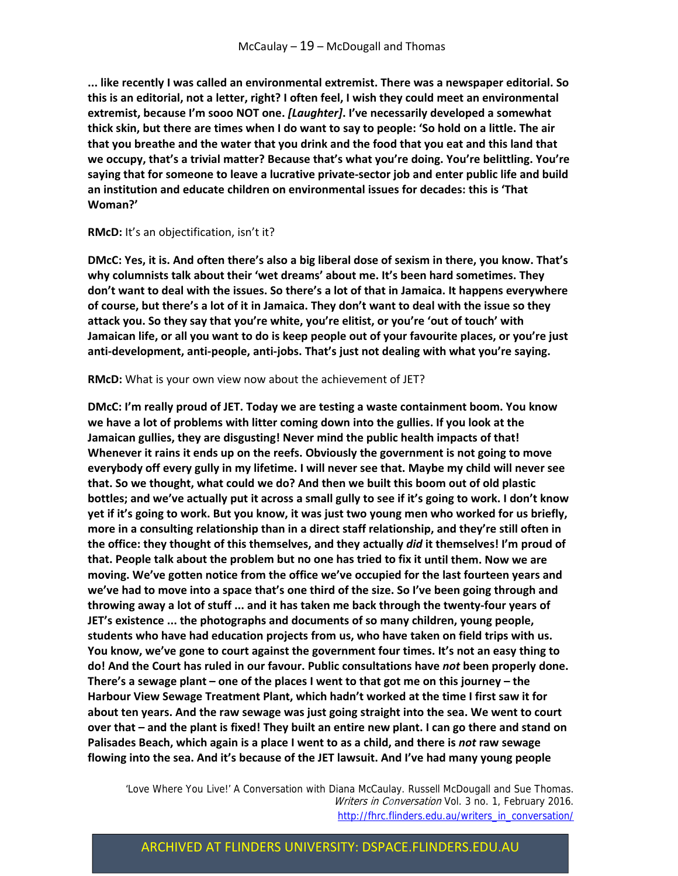**... like recently I was called an environmental extremist. There was a newspaper editorial. So this is an editorial, not a letter, right? I often feel, I wish they could meet an environmental extremist, because I'm sooo NOT one.** *[Laughter]***. I've necessarily developed a somewhat** thick skin, but there are times when I do want to say to people: 'So hold on a little. The air **that you breathe and the water that you drink and the food that you eat and this land that we occupy, that's a trivial matter? Because that's what you're doing. You're belittling. You're saying that for someone to leave a lucrative private‐sector job and enter public life and build an institution and educate children on environmental issues for decades: this is 'That Woman?'**

#### **RMcD:** It's an objectification, isn't it?

DMcC: Yes, it is. And often there's also a big liberal dose of sexism in there, you know. That's **why columnists talk about their 'wet dreams' about me. It's been hard sometimes. They don't want to deal with the issues. So there's a lot of that in Jamaica. It happens everywhere** of course, but there's a lot of it in Jamaica. They don't want to deal with the issue so they **attack you. So they say that you're white, you're elitist, or you're 'out of touch' with** Jamaican life, or all you want to do is keep people out of your favourite places, or you're just **anti‐development, anti‐people, anti‐jobs. That's just not dealing with what you're saying.**

#### **RMcD:** What is your own view now about the achievement of JET?

**DMcC: I'm really proud of JET. Today we are testing a waste containment boom. You know we have a lot of problems with litter coming down into the gullies. If you look at the Jamaican gullies, they are disgusting! Never mind the public health impacts of that! Whenever it rains it ends up on the reefs. Obviously the government is not going to move everybody off every gully in my lifetime. I will never see that. Maybe my child will never see that. So we thought, what could we do? And then we built this boom out of old plastic** bottles; and we've actually put it across a small gully to see if it's going to work. I don't know yet if it's going to work. But you know, it was just two young men who worked for us briefly, **more in a consulting relationship than in a direct staff relationship, and they're still often in the office: they thought of this themselves, and they actually** *did* **it themselves! I'm proud of that. People talk about the problem but no one has tried to fix it until them. Now we are moving. We've gotten notice from the office we've occupied for the last fourteen years and we've had to move into a space that's one third of the size. So I've been going through and** throwing away a lot of stuff ... and it has taken me back through the twenty-four years of **JET's existence ... the photographs and documents of so many children, young people, students who have had education projects from us, who have taken on field trips with us. You know, we've gone to court against the government four times. It's not an easy thing to do! And the Court has ruled in our favour. Public consultations have** *not* **been properly done.** There's a sewage plant – one of the places I went to that got me on this journey – the **Harbour View Sewage Treatment Plant, which hadn't worked at the time I first saw it for about ten years. And the raw sewage was just going straight into the sea. We went to court** over that – and the plant is fixed! They built an entire new plant. I can go there and stand on **Palisades Beach, which again is a place I went to as a child, and there is** *not* **raw sewage flowing into the sea. And it's because of the JET lawsuit. And I've had many young people**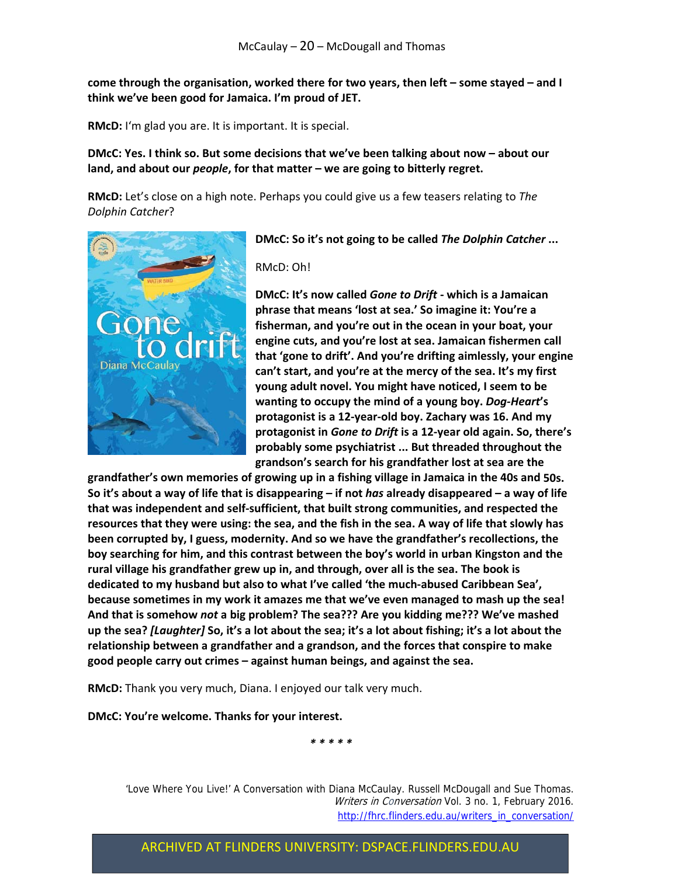**come through the organisation, worked there for two years, then left – some stayed – and I think we've been good for Jamaica. I'm proud of JET.**

**RMcD:** I'm glad you are. It is important. It is special.

**DMcC: Yes. I think so. But some decisions that we've been talking about now – about our land, and about our** *people***, for that matter – we are going to bitterly regret.** 

**RMcD:** Let's close on a high note. Perhaps you could give us a few teasers relating to *The Dolphin Catcher*?



**DMcC: So it's not going to be called** *The Dolphin Catcher* **...**

RMcD: Oh!

**DMcC: It's now called** *Gone to Drift* **‐ which is a Jamaican phrase that means 'lost at sea.' So imagine it: You're a fisherman, and you're out in the ocean in your boat, your engine cuts, and you're lost at sea. Jamaican fishermen call that 'gone to drift'. And you're drifting aimlessly, your engine can't start, and you're at the mercy of the sea. It's my first young adult novel. You might have noticed, I seem to be wanting to occupy the mind of a young boy.** *Dog‐Heart***'s protagonist is a 12‐year‐old boy. Zachary was 16. And my protagonist in** *Gone to Drift* **is a 12‐year old again. So, there's probably some psychiatrist ... But threaded throughout the grandson's search for his grandfather lost at sea are the**

**grandfather's own memories of growing up in a fishing village in Jamaica in the 40s and 50s.** So it's about a way of life that is disappearing - if not has already disappeared - a way of life **that was independent and self‐sufficient, that built strong communities, and respected the** resources that they were using: the sea, and the fish in the sea. A way of life that slowly has **been corrupted by, I guess, modernity. And so we have the grandfather's recollections, the boy searching for him, and this contrast between the boy's world in urban Kingston and the rural village his grandfather grew up in, and through, over all is the sea. The book is dedicated to my husband but also to what I've called 'the much‐abused Caribbean Sea', because sometimes in my work it amazes me that we've even managed to mash up the sea! And that is somehow** *not* **a big problem? The sea??? Are you kidding me??? We've mashed** up the sea? [Laughter] So, it's a lot about the sea; it's a lot about fishing; it's a lot about the **relationship between a grandfather and a grandson, and the forces that conspire to make good people carry out crimes – against human beings, and against the sea.**

**RMcD:** Thank you very much, Diana. I enjoyed our talk very much.

**DMcC: You're welcome. Thanks for your interest.**

*\* \* \* \* \**